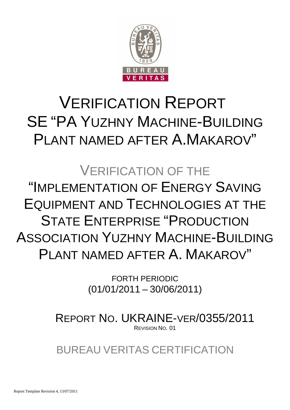

# VERIFICATION REPORT SE "PA YUZHNY MACHINE-BUILDING PLANT NAMED AFTER A.MAKAROV"

# VERIFICATION OF THE "IMPLEMENTATION OF ENERGY SAVING EQUIPMENT AND TECHNOLOGIES AT THE STATE ENTERPRISE "PRODUCTION ASSOCIATION YUZHNY MACHINE-BUILDING PLANT NAMED AFTER A. MAKAROV"

FORTH PERIODIC (01/01/2011 – 30/06/2011)

REPORT NO. UKRAINE-VER/0355/2011 REVISION NO. 01

BUREAU VERITAS CERTIFICATION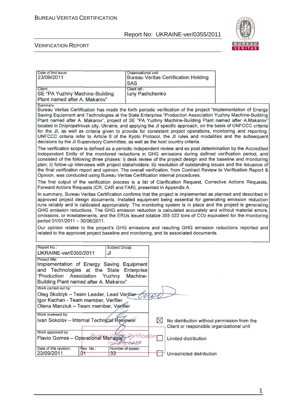

#### VERIFICATION REPORT

| Date of first issue:<br>23/09/2011                                                                                                                                                                                                                                                        |                             | Organizational unit:<br>SAS      |           | <b>Bureau Veritas Certification Holding</b>                                              |                                                                                                                                                                                                                                                                                                                                                                                                                                                                                                                                                                                                                                                                                                                                                                                                                                                                                                                                                                                                                                                                                                                                                                                                                                                                                                                                                                                                                                                                                                                                                                                                                                                                                                                                                                                                                                                                                                                                                                                                                                                                                      |
|-------------------------------------------------------------------------------------------------------------------------------------------------------------------------------------------------------------------------------------------------------------------------------------------|-----------------------------|----------------------------------|-----------|------------------------------------------------------------------------------------------|--------------------------------------------------------------------------------------------------------------------------------------------------------------------------------------------------------------------------------------------------------------------------------------------------------------------------------------------------------------------------------------------------------------------------------------------------------------------------------------------------------------------------------------------------------------------------------------------------------------------------------------------------------------------------------------------------------------------------------------------------------------------------------------------------------------------------------------------------------------------------------------------------------------------------------------------------------------------------------------------------------------------------------------------------------------------------------------------------------------------------------------------------------------------------------------------------------------------------------------------------------------------------------------------------------------------------------------------------------------------------------------------------------------------------------------------------------------------------------------------------------------------------------------------------------------------------------------------------------------------------------------------------------------------------------------------------------------------------------------------------------------------------------------------------------------------------------------------------------------------------------------------------------------------------------------------------------------------------------------------------------------------------------------------------------------------------------------|
| Client:<br>SE "PA Yuzhny Machine-Building<br>Plant named after A. Makarov"                                                                                                                                                                                                                |                             | Client ref.:<br>luriy Pashchenko |           |                                                                                          |                                                                                                                                                                                                                                                                                                                                                                                                                                                                                                                                                                                                                                                                                                                                                                                                                                                                                                                                                                                                                                                                                                                                                                                                                                                                                                                                                                                                                                                                                                                                                                                                                                                                                                                                                                                                                                                                                                                                                                                                                                                                                      |
| Summary:<br>decisions by the JI Supervisory Committee, as well as the host country criteria.<br>Opinion, was conducted using Bureau Veritas Certification internal procedures.<br>Forward Actions Requests (CR, CAR and FAR), presented in Appendix A.<br>period 01/01/2011 - 30/06/2011. |                             |                                  |           |                                                                                          | Bureau Veritas Certification has made the forth periodic verification of the project "Implementation of Energy<br>Saving Equipment and Technologies at the State Enterprise "Production Association Yuzhny Machine-Building<br>Plant named after A. Makarov", project of SE "PA Yuzhny Machine-Building Plant named after A.Makarov"<br>located in Dnipropetrovsk city, Ukraine, and applying the JI specific approach, on the basis of UNFCCC criteria<br>for the JI, as well as criteria given to provide for consistent project operations, monitoring and reporting.<br>UNFCCC criteria refer to Article 6 of the Kyoto Protocol, the JI rules and modalities and the subsequent<br>The verification scope is defined as a periodic independent review and ex post determination by the Accredited<br>Independent Entity of the monitored reductions in GHG emissions during defined verification period, and<br>consisted of the following three phases: i) desk review of the project design and the baseline and monitoring<br>plan; ii) follow-up interviews with project stakeholders; iii) resolution of outstanding issues and the issuance of<br>the final verification report and opinion. The overall verification, from Contract Review to Verification Report &<br>The first output of the verification process is a list of Clarification Request, Corrective Actions Requests,<br>In summary, Bureau Veritas Certification confirms that the project is implemented as planned and described in<br>approved project design documents. Installed equipment being essential for generating emission reduction<br>runs reliably and is calibrated appropriately. The monitoring system is in place and the project is generating<br>GHG emission reductions. The GHG emission reduction is calculated accurately and without material errors,<br>omissions, or misstatements, and the ERUs issued totalize 355 022 tons of CO2 equivalent for the monitoring<br>Our opinion relates to the project's GHG emissions and resulting GHG emission reductions reported and |
|                                                                                                                                                                                                                                                                                           |                             |                                  |           | related to the approved project baseline and monitoring, and its associated documents.   |                                                                                                                                                                                                                                                                                                                                                                                                                                                                                                                                                                                                                                                                                                                                                                                                                                                                                                                                                                                                                                                                                                                                                                                                                                                                                                                                                                                                                                                                                                                                                                                                                                                                                                                                                                                                                                                                                                                                                                                                                                                                                      |
| Report No.:<br>UKRAINE-ver/0355/2011                                                                                                                                                                                                                                                      | JJ                          | Subject Group:                   |           |                                                                                          |                                                                                                                                                                                                                                                                                                                                                                                                                                                                                                                                                                                                                                                                                                                                                                                                                                                                                                                                                                                                                                                                                                                                                                                                                                                                                                                                                                                                                                                                                                                                                                                                                                                                                                                                                                                                                                                                                                                                                                                                                                                                                      |
| Project title:<br>Implementation of Energy Saving Equipment<br>and Technologies at the State<br>"Production Association<br>Building Plant named after A. Makarov"<br>Work carried out by:                                                                                                 | Yuzhny                      | Enterprise<br>Machine-           |           |                                                                                          |                                                                                                                                                                                                                                                                                                                                                                                                                                                                                                                                                                                                                                                                                                                                                                                                                                                                                                                                                                                                                                                                                                                                                                                                                                                                                                                                                                                                                                                                                                                                                                                                                                                                                                                                                                                                                                                                                                                                                                                                                                                                                      |
| Oleg Skoblyk - Team Leader, Lead Verifier<br>Igor Kachan - Team member, Verifier<br>Olena Manziuk - Team member, Verifier                                                                                                                                                                 |                             |                                  | no        |                                                                                          |                                                                                                                                                                                                                                                                                                                                                                                                                                                                                                                                                                                                                                                                                                                                                                                                                                                                                                                                                                                                                                                                                                                                                                                                                                                                                                                                                                                                                                                                                                                                                                                                                                                                                                                                                                                                                                                                                                                                                                                                                                                                                      |
| Work reviewed by:<br>Ivan Sokolov - Internal Technical Reviewer                                                                                                                                                                                                                           |                             |                                  | $\bowtie$ | No distribution without permission from the<br>Client or responsible organizational unit |                                                                                                                                                                                                                                                                                                                                                                                                                                                                                                                                                                                                                                                                                                                                                                                                                                                                                                                                                                                                                                                                                                                                                                                                                                                                                                                                                                                                                                                                                                                                                                                                                                                                                                                                                                                                                                                                                                                                                                                                                                                                                      |
| Work approved by:                                                                                                                                                                                                                                                                         |                             |                                  |           |                                                                                          |                                                                                                                                                                                                                                                                                                                                                                                                                                                                                                                                                                                                                                                                                                                                                                                                                                                                                                                                                                                                                                                                                                                                                                                                                                                                                                                                                                                                                                                                                                                                                                                                                                                                                                                                                                                                                                                                                                                                                                                                                                                                                      |
| Flavio Gomes - Operational Manager                                                                                                                                                                                                                                                        |                             | tificat                          | ion       | Limited distribution                                                                     |                                                                                                                                                                                                                                                                                                                                                                                                                                                                                                                                                                                                                                                                                                                                                                                                                                                                                                                                                                                                                                                                                                                                                                                                                                                                                                                                                                                                                                                                                                                                                                                                                                                                                                                                                                                                                                                                                                                                                                                                                                                                                      |
| Date of this revision:<br>23/09/2011                                                                                                                                                                                                                                                      | Rev. No.:<br>0 <sub>1</sub> | Number of pages:<br>33           |           | Unrestricted distribution                                                                |                                                                                                                                                                                                                                                                                                                                                                                                                                                                                                                                                                                                                                                                                                                                                                                                                                                                                                                                                                                                                                                                                                                                                                                                                                                                                                                                                                                                                                                                                                                                                                                                                                                                                                                                                                                                                                                                                                                                                                                                                                                                                      |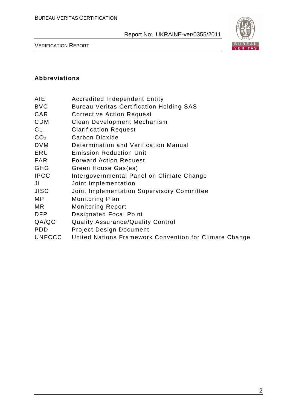

VERIFICATION REPORT

#### **Abbreviations**

| AIE | <b>Accredited Independent Entity</b> |  |
|-----|--------------------------------------|--|
|     |                                      |  |

- BVC Bureau Veritas Certification Holding SAS
- CAR Corrective Action Request
- CDM Clean Development Mechanism
- CL Clarification Request
- CO<sub>2</sub> Carbon Dioxide
- DVM Determination and Verification Manual
- ERU Emission Reduction Unit
- FAR Forward Action Request
- GHG Green House Gas(es)
- IPCC Intergovernmental Panel on Climate Change
- JI Joint Implementation
- JISC Joint Implementation Supervisory Committee
- MP Monitoring Plan
- MR Monitoring Report
- DFP Designated Focal Point
- QA/QC Quality Assurance/Quality Control
- PDD Project Design Document
- UNFCCC United Nations Framework Convention for Climate Change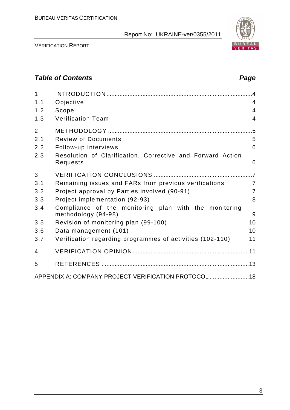

VERIFICATION REPORT

# **Table of Contents Page 2018**

| $\mathbf{1}$   |                                                                              |                |
|----------------|------------------------------------------------------------------------------|----------------|
| 1.1            | Objective                                                                    | 4              |
| 1.2            | Scope                                                                        | $\overline{4}$ |
| 1.3            | <b>Verification Team</b>                                                     | $\overline{4}$ |
| $\overline{2}$ |                                                                              |                |
| 2.1            | <b>Review of Documents</b>                                                   | 5              |
| 2.2            | Follow-up Interviews                                                         | 6              |
| 2.3            | Resolution of Clarification, Corrective and Forward Action<br>Requests       | 6              |
| 3              |                                                                              |                |
| 3.1            | Remaining issues and FARs from previous verifications                        | $\overline{7}$ |
| 3.2            | Project approval by Parties involved (90-91)                                 | $\overline{7}$ |
| 3.3            | Project implementation (92-93)                                               | 8              |
| 3.4            | Compliance of the monitoring plan with the monitoring<br>methodology (94-98) | 9              |
| 3.5            | Revision of monitoring plan (99-100)                                         | 10             |
| 3.6            | Data management (101)                                                        | 10             |
| 3.7            | Verification regarding programmes of activities (102-110)                    | 11             |
| 4              |                                                                              |                |
| 5              |                                                                              |                |
|                | APPENDIX A: COMPANY PROJECT VERIFICATION PROTOCOL  18                        |                |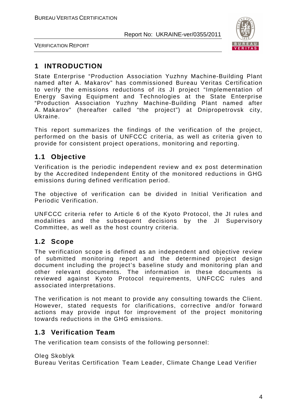

VERIFICATION REPORT

# **1 INTRODUCTION**

State Enterprise "Production Association Yuzhny Machine-Building Plant named after A. Makarov" has commissioned Bureau Veritas Certification to verify the emissions reductions of its JI project "Implementation of Energy Saving Equipment and Technologies at the State Enterprise "Production Association Yuzhny Machine-Building Plant named after A. Makarov" (hereafter called "the project") at Dnipropetrovsk city, Ukraine.

This report summarizes the findings of the verification of the project, performed on the basis of UNFCCC criteria, as well as criteria given to provide for consistent project operations, monitoring and reporting.

# **1.1 Objective**

Verification is the periodic independent review and ex post determination by the Accredited Independent Entity of the monitored reductions in GHG emissions during defined verification period.

The objective of verification can be divided in Initial Verification and Periodic Verification.

UNFCCC criteria refer to Article 6 of the Kyoto Protocol, the JI rules and modalities and the subsequent decisions by the JI Supervisory Committee, as well as the host country criteria.

# **1.2 Scope**

The verification scope is defined as an independent and objective review of submitted monitoring report and the determined project design document including the project's baseline study and monitoring plan and other relevant documents. The information in these documents is reviewed against Kyoto Protocol requirements, UNFCCC rules and associated interpretations.

The verification is not meant to provide any consulting towards the Client. However, stated requests for clarifications, corrective and/or forward actions may provide input for improvement of the project monitoring towards reductions in the GHG emissions.

# **1.3 Verification Team**

The verification team consists of the following personnel:

Oleg Skoblyk

Bureau Veritas Certification Team Leader, Climate Change Lead Verifier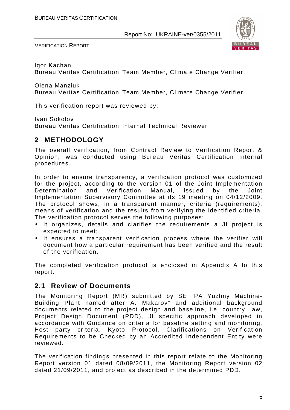

VERIFICATION REPORT

Igor Kachan

Bureau Veritas Certification Team Member, Climate Change Verifier

Olena Manziuk

Bureau Veritas Certification Team Member, Climate Change Verifier

This verification report was reviewed by:

Ivan Sokolov

Bureau Veritas Certification Internal Technical Reviewer

## **2 METHODOLOGY**

The overall verification, from Contract Review to Verification Report & Opinion, was conducted using Bureau Veritas Certification internal procedures.

In order to ensure transparency, a verification protocol was customized for the project, according to the version 01 of the Joint Implementation Determination and Verification Manual, issued by the Joint Implementation Supervisory Committee at its 19 meeting on 04/12/2009. The protocol shows, in a transparent manner, criteria (requirements), means of verification and the results from verifying the identified criteria. The verification protocol serves the following purposes:

- It organizes, details and clarifies the requirements a JI project is expected to meet;
- It ensures a transparent verification process where the verifier will document how a particular requirement has been verified and the result of the verification.

The completed verification protocol is enclosed in Appendix A to this report.

### **2.1 Review of Documents**

The Monitoring Report (MR) submitted by SE "PA Yuzhny Machine-Building Plant named after A. Makarov" and additional background documents related to the project design and baseline, i.e. country Law, Project Design Document (PDD), JI specific approach developed in accordance with Guidance on criteria for baseline setting and monitoring, Host party criteria, Kyoto Protocol, Clarifications on Verification Requirements to be Checked by an Accredited Independent Entity were reviewed.

The verification findings presented in this report relate to the Monitoring Report version 01 dated 08/09/2011, the Monitoring Report version 02 dated 21/09/2011, and project as described in the determined PDD.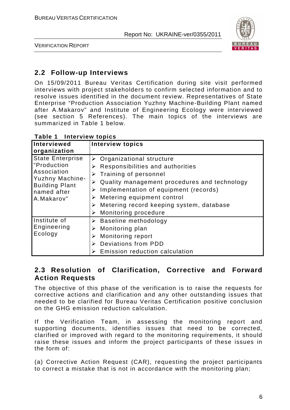

VERIFICATION REPORT

## **2.2 Follow-up Interviews**

On 15/09/2011 Bureau Veritas Certification during site visit performed interviews with project stakeholders to confirm selected information and to resolve issues identified in the document review. Representatives of State Enterprise "Production Association Yuzhny Machine-Building Plant named after A.Makarov" and Institute of Engineering Ecology were interviewed (see section 5 References). The main topics of the interviews are summarized in Table 1 below.

| Interviewed<br>organization                                                                                                           | <b>Interview topics</b>                                                                                                                                                                                                                                                                                                                            |
|---------------------------------------------------------------------------------------------------------------------------------------|----------------------------------------------------------------------------------------------------------------------------------------------------------------------------------------------------------------------------------------------------------------------------------------------------------------------------------------------------|
| <b>State Enterprise</b><br>"Production<br>Association<br><b>Yuzhny Machine-</b><br><b>Building Plant</b><br>named after<br>A.Makarov" | $\triangleright$ Organizational structure<br>Responsibilities and authorities<br>➤<br>Training of personnel<br>⋗<br>Quality management procedures and technology<br>Implementation of equipment (records)<br>➤<br>Metering equipment control<br>➤<br>$\triangleright$ Metering record keeping system, database<br><b>Monitoring procedure</b><br>➤ |
| Institute of<br>Engineering<br>Ecology                                                                                                | $\triangleright$ Baseline methodology<br>Monitoring plan<br>➤<br><b>Monitoring report</b><br>➤<br>Deviations from PDD<br>Emission reduction calculation                                                                                                                                                                                            |

**Table 1 Interview topics** 

### **2.3 Resolution of Clarification, Corrective and Forward Action Requests**

The objective of this phase of the verification is to raise the requests for corrective actions and clarification and any other outstanding issues that needed to be clarified for Bureau Veritas Certification positive conclusion on the GHG emission reduction calculation.

If the Verification Team, in assessing the monitoring report and supporting documents, identifies issues that need to be corrected, clarified or improved with regard to the monitoring requirements, it should raise these issues and inform the project participants of these issues in the form of:

(a) Corrective Action Request (CAR), requesting the project participants to correct a mistake that is not in accordance with the monitoring plan;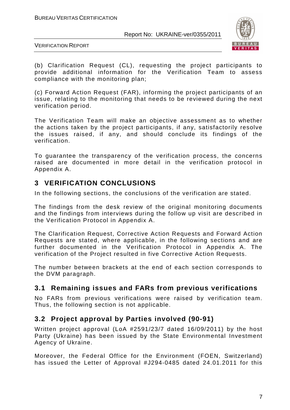

VERIFICATION REPORT

(b) Clarification Request (CL), requesting the project participants to provide additional information for the Verification Team to assess compliance with the monitoring plan;

(c) Forward Action Request (FAR), informing the project participants of an issue, relating to the monitoring that needs to be reviewed during the next verification period.

The Verification Team will make an objective assessment as to whether the actions taken by the project participants, if any, satisfactorily resolve the issues raised, if any, and should conclude its findings of the verification.

To guarantee the transparency of the verification process, the concerns raised are documented in more detail in the verification protocol in Appendix A.

# **3 VERIFICATION CONCLUSIONS**

In the following sections, the conclusions of the verification are stated.

The findings from the desk review of the original monitoring documents and the findings from interviews during the follow up visit are described in the Verification Protocol in Appendix A.

The Clarification Request, Corrective Action Requests and Forward Action Requests are stated, where applicable, in the following sections and are further documented in the Verification Protocol in Appendix A. The verification of the Project resulted in five Corrective Action Requests.

The number between brackets at the end of each section corresponds to the DVM paragraph.

# **3.1 Remaining issues and FARs from previous verifications**

No FARs from previous verifications were raised by verification team. Thus, the following section is not applicable.

# **3.2 Project approval by Parties involved (90-91)**

Written project approval (LoA #2591/23/7 dated 16/09/2011) by the host Party (Ukraine) has been issued by the State Environmental Investment Agency of Ukraine.

Moreover, the Federal Office for the Environment (FOEN, Switzerland) has issued the Letter of Approval #J294-0485 dated 24.01.2011 for this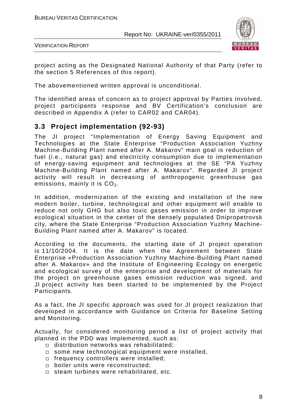

VERIFICATION REPORT

project acting as the Designated National Authority of that Party (refer to the section 5 References of this report).

The abovementioned written approval is unconditional.

The identified areas of concern as to project approval by Parties involved, project participants response and BV Certification's conclusion are described in Appendix A (refer to CAR02 and CAR04).

### **3.3 Project implementation (92-93)**

The JI project "Implementation of Energy Saving Equipment and Technologies at the State Enterprise "Production Association Yuzhny Machine-Building Plant named after A. Makarov" main goal is reduction of fuel (i.e., natural gas) and electricity consumption due to implementation of energy-saving equipment and technologies at the SE "PA Yuzhny Machine-Building Plant named after A. Makarov". Regarded JI project activity will result in decreasing of anthropogenic greenhouse gas emissions, mainly it is  $CO<sub>2</sub>$ .

In addition, modernization of the existing and installation of the new modern boiler, turbine, technological and other equipment will enable to reduce not only GHG but also toxic gases emission in order to improve ecological situation in the center of the densely populated Dnipropetrovsk city, where the State Enterprise "Production Association Yuzhny Machine-Building Plant named after A. Makarov" is located.

According to the documents, the starting date of JI project operation is 11/10/2004. It is the date when the Agreement between State Enterprise «Production Association Yuzhny Machine-Building Plant named after A. Makarov» and the Institute of Engineering Ecology on energetic and ecological survey of the enterprise and development of materials for the project on greenhouse gases emission reduction was signed, and JI project activity has been started to be implemented by the Project Participants.

As a fact, the JI specific approach was used for JI project realization that developed in accordance with Guidance on Criteria for Baseline Setting and Monitoring.

Actually, for considered monitoring period a list of project activity that planned in the PDD was implemented, such as:

- distribution networks was rehabilitated;
- □ some new technological equipment were installed,
- frequency controllers were installed;
- $\square$  boiler units were reconstructed;
- $\square$  steam turbines were rehabilitated, etc.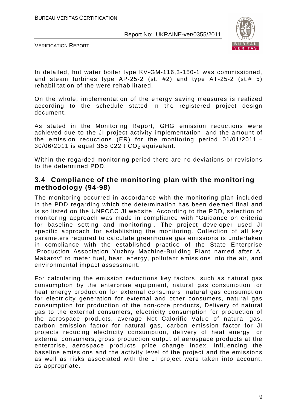

VERIFICATION REPORT

In detailed, hot water boiler type KV-GM-116,3-150-1 was commissioned, and steam turbines type  $AP-25-2$  (st. #2) and type  $AT-25-2$  (st.# 5) rehabilitation of the were rehabilitated.

On the whole, implementation of the energy saving measures is realized according to the schedule stated in the registered project design document.

As stated in the Monitoring Report, GHG emission reductions were achieved due to the JI project activity implementation, and the amount of the emission reductions (ER) for the monitoring period 01/01/2011 –  $30/06/2011$  is equal 355 022 t CO<sub>2</sub> equivalent.

Within the regarded monitoring period there are no deviations or revisions to the determined PDD.

#### **3.4 Compliance of the monitoring plan with the monitoring methodology (94-98)**

The monitoring occurred in accordance with the monitoring plan included in the PDD regarding which the determination has been deemed final and is so listed on the UNFCCC JI website. According to the PDD, selection of monitoring approach was made in compliance with "Guidance on criteria for baseline setting and monitoring". The project developer used JI specific approach for establishing the monitoring. Collection of all key parameters required to calculate greenhouse gas emissions is undertaken in compliance with the established practice of the State Enterprise "Production Association Yuzhny Machine-Building Plant named after A. Makarov" to meter fuel, heat, energy, pollutant emissions into the air, and environmental impact assessment.

For calculating the emission reductions key factors, such as natural gas consumption by the enterprise equipment, natural gas consumption for heat energy production for external consumers, natural gas consumption for electricity generation for external and other consumers, natural gas consumption for production of the non-core products, Delivery of natural gas to the external consumers, electricity consumption for production of the aerospace products, average Net Calorific Value of natural gas, carbon emission factor for natural gas, carbon emission factor for JI projects reducing electricity consumption, delivery of heat energy for external consumers, gross production output of aerospace products at the enterprise, aerospace products price change index, influencing the baseline emissions and the activity level of the project and the emissions as well as risks associated with the JI project were taken into account, as appropriate.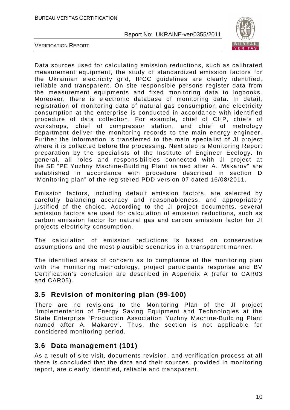

VERIFICATION REPORT

Data sources used for calculating emission reductions, such as calibrated measurement equipment, the study of standardized emission factors for the Ukrainian electricity grid, IPCC guidelines are clearly identified, reliable and transparent. On site responsible persons register data from the measurement equipments and fixed monitoring data to logbooks. Moreover, there is electronic database of monitoring data. In detail, registration of monitoring data of natural gas consumption and electricity consumption at the enterprise is conducted in accordance with identified procedure of data collection. For example, chief of CHP, chiefs of workshops, chief of compressor station, and chief of metrology department deliver the monitoring records to the main energy engineer. Further the information is transferred to the main specialist of JI project where it is collected before the processing. Next step is Monitoring Report preparation by the specialists of the Institute of Engineer Ecology. In general, all roles and responsibilities connected with JI project at the SE "PE Yuzhny Machine-Building Plant named after A. Makarov" are established in accordance with procedure described in section D "Monitoring plan" of the registered PDD version 07 dated 16/08/2011.

Emission factors, including default emission factors, are selected by carefully balancing accuracy and reasonableness, and appropriately justified of the choice. According to the JI project documents, several emission factors are used for calculation of emission reductions, such as carbon emission factor for natural gas and carbon emission factor for JI projects electricity consumption.

The calculation of emission reductions is based on conservative assumptions and the most plausible scenarios in a transparent manner.

The identified areas of concern as to compliance of the monitoring plan with the monitoring methodology, project participants response and BV Certification's conclusion are described in Appendix A (refer to CAR03 and CAR05).

### **3.5 Revision of monitoring plan (99-100)**

There are no revisions to the Monitoring Plan of the JI project "Implementation of Energy Saving Equipment and Technologies at the State Enterprise "Production Association Yuzhny Machine-Building Plant named after A. Makarov". Thus, the section is not applicable for considered monitoring period.

### **3.6 Data management (101)**

As a result of site visit, documents revision, and verification process at all there is concluded that the data and their sources, provided in monitoring report, are clearly identified, reliable and transparent.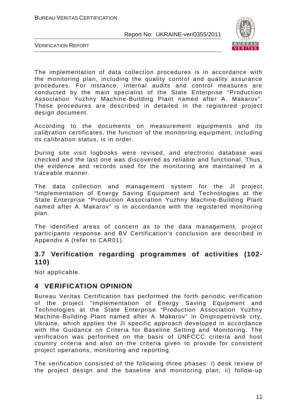

VERIFICATION REPORT

The implementation of data collection procedures is in accordance with the monitoring plan, including the quality control and quality assurance procedures. For instance, internal audits and control measures are conducted by the main specialist of the State Enterprise "Production Association Yuzhny Machine-Building Plant named after A. Makarov". These procedures are described in detailed in the registered project design document.

According to the documents on measurement equipments and its calibration certificates, the function of the monitoring equipment, including its calibration status, is in order.

During site visit logbooks were revised, and electronic database was checked and the last one was discovered as reliable and functional. Thus, the evidence and records used for the monitoring are maintained in a traceable manner.

The data collection and management system for the JI project "Implementation of Energy Saving Equipment and Technologies at the State Enterprise "Production Association Yuzhny Machine-Building Plant named after A. Makarov" is in accordance with the registered monitoring plan.

The identified areas of concern as to the data management, project participants response and BV Certification's conclusion are described in Appendix A (refer to CAR01).

#### **3.7 Verification regarding programmes of activities (102- 110)**

Not applicable.

### **4 VERIFICATION OPINION**

Bureau Veritas Certification has performed the forth periodic verification of the project "Implementation of Energy Saving Equipment and Technologies at the State Enterprise "Production Association Yuzhny Machine-Building Plant named after A. Makarov" in Dnipropetrovsk city, Ukraine, which applies the JI specific approach developed in accordance with the Guidance on Criteria for Baseline Setting and Monitoring. The verification was performed on the basis of UNFCCC criteria and host country criteria and also on the criteria given to provide for consistent project operations, monitoring and reporting.

The verification consisted of the following three phases: i) desk review of the project design and the baseline and monitoring plan; ii) follow-up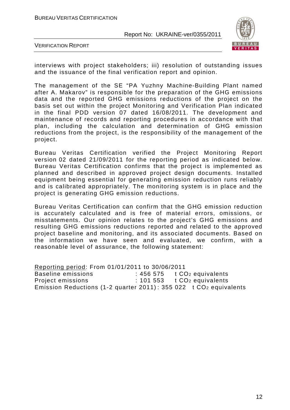

VERIFICATION REPORT

interviews with project stakeholders; iii) resolution of outstanding issues and the issuance of the final verification report and opinion.

The management of the SE "PA Yuzhny Machine-Building Plant named after A. Makarov" is responsible for the preparation of the GHG emissions data and the reported GHG emissions reductions of the project on the basis set out within the project Monitoring and Verification Plan indicated in the final PDD version 07 dated 16/08/2011. The development and maintenance of records and reporting procedures in accordance with that plan, including the calculation and determination of GHG emission reductions from the project, is the responsibility of the management of the project.

Bureau Veritas Certification verified the Project Monitoring Report version 02 dated 21/09/2011 for the reporting period as indicated below. Bureau Veritas Certification confirms that the project is implemented as planned and described in approved project design documents. Installed equipment being essential for generating emission reduction runs reliably and is calibrated appropriately. The monitoring system is in place and the project is generating GHG emission reductions.

Bureau Veritas Certification can confirm that the GHG emission reduction is accurately calculated and is free of material errors, omissions, or misstatements. Our opinion relates to the project's GHG emissions and resulting GHG emissions reductions reported and related to the approved project baseline and monitoring, and its associated documents. Based on the information we have seen and evaluated, we confirm, with a reasonable level of assurance, the following statement:

Reporting period: From 01/01/2011 to 30/06/2011 Baseline emissions : 456 575 t CO<sub>2</sub> equivalents Project emissions : 101 553 t CO<sub>2</sub> equivalents Emission Reductions (1-2 quarter 2011) : 355 022 t CO2 equivalents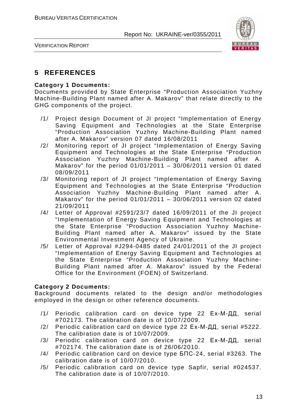

VERIFICATION REPORT

# **5 REFERENCES**

#### **Category 1 Documents:**

Documents provided by State Enterprise "Production Association Yuzhny Machine-Building Plant named after A. Makarov" that relate directly to the GHG components of the project.

- /1/ Project design Document of JI project "Implementation of Energy Saving Equipment and Technologies at the State Enterprise "Production Association Yuzhny Machine-Building Plant named after A. Makarov" version 07 dated 16/08/2011
- /2/ Monitoring report of JI project "Implementation of Energy Saving Equipment and Technologies at the State Enterprise "Production Association Yuzhny Machine-Building Plant named after A. Makarov" for the period 01/01/2011 – 30/06/2011 version 01 dated 08/09/2011
- /3/ Monitoring report of JI project "Implementation of Energy Saving Equipment and Technologies at the State Enterprise "Production Association Yuzhny Machine-Building Plant named after A. Makarov" for the period 01/01/2011 – 30/06/2011 version 02 dated 21/09/2011
- /4/ Letter of Approval #2591/23/7 dated 16/09/2011 of the JI project "Implementation of Energy Saving Equipment and Technologies at the State Enterprise "Production Association Yuzhny Machine-Building Plant named after A. Makarov" issued by the State Environmental Investment Agency of Ukraine.
- /5/ Letter of Approval #J294-0485 dated 24/01/2011 of the JI project "Implementation of Energy Saving Equipment and Technologies at the State Enterprise "Production Association Yuzhny Machine-Building Plant named after A. Makarov" issued by the Federal Office for the Environment (FOEN) of Switzerland.

#### **Category 2 Documents:**

Background documents related to the design and/or methodologies employed in the design or other reference documents.

- /1/ Periodic calibration card on device type 22 Ех-М-ДД, serial #702173. The calibration date is of 10/07/2009.
- /2/ Periodic calibration card on device type 22 Ех-М-ДД, serial #5222. The calibration date is of 10/07/2009.
- /3/ Periodic calibration card on device type 22 Ех-М-ДД, serial #702174. The calibration date is of 26/06/2010.
- /4/ Periodic calibration card on device type БПС-24, serial #3263. The calibration date is of 10/07/2010.
- /5/ Periodic calibration card on device type Sapfir, serial #024537. The calibration date is of 10/07/2010.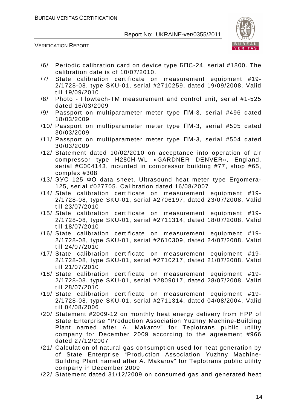

VERIFICATION REPORT

- /6/ Periodic calibration card on device type БПС-24, serial #1800. The calibration date is of 10/07/2010.
- /7/ State calibration certificate on measurement equipment #19- 2/1728-08, type SKU-01, serial #2710259, dated 19/09/2008. Valid till 19/09/2010
- /8/ Photo Flowtech-TM measurement and control unit, serial #1-525 dated 16/03/2009
- /9/ Passport on multiparameter meter type ПМ-3, serial #496 dated 18/03/2009
- /10/ Passport on multiparameter meter type ПМ-3, serial #505 dated 30/03/2009
- /11/ Passport on multiparameter meter type ПМ-3, serial #504 dated 30/03/2009
- /12/ Statement dated 10/02/2010 on acceptance into operation of air compressor type Н280Н-WL «GARDNER DENVER», England, serial #С004143, mounted in compressor building #77, shop #65, complex #308
- /13/ ЭУС 125 ФО data sheet. Ultrasound heat meter type Ergomera-125, serial #027705. Calibration dated 16/08/2007
- /14/ State calibration certificate on measurement equipment #19- 2/1728-08, type SKU-01, serial #2706197, dated 23/07/2008. Valid till 23/07/2010
- /15/ State calibration certificate on measurement equipment #19- 2/1728-08, type SKU-01, serial #2711314, dated 18/07/2008. Valid till 18/07/2010
- /16/ State calibration certificate on measurement equipment #19- 2/1728-08, type SKU-01, serial #2610309, dated 24/07/2008. Valid till 24/07/2010
- /17/ State calibration certificate on measurement equipment #19- 2/1728-08, type SKU-01, serial #2710217, dated 21/07/2008. Valid till 21/07/2010
- /18/ State calibration certificate on measurement equipment #19- 2/1728-08, type SKU-01, serial #2809017, dated 28/07/2008. Valid till 28/07/2010
- /19/ State calibration certificate on measurement equipment #19- 2/1728-08, type SKU-01, serial #2711314, dated 04/08/2004. Valid till 04/08/2006
- /20/ Statement #2009-12 on monthly heat energy delivery from HPP of State Enterprise "Production Association Yuzhny Machine-Building Plant named after A. Makarov" for Teplotrans public utility company for December 2009 according to the agreement #966 dated 27/12/2007
- /21/ Calculation of natural gas consumption used for heat generation by of State Enterprise "Production Association Yuzhny Machine-Building Plant named after A. Makarov" for Teplotrans public utility company in December 2009
- /22/ Statement dated 31/12/2009 on consumed gas and generated heat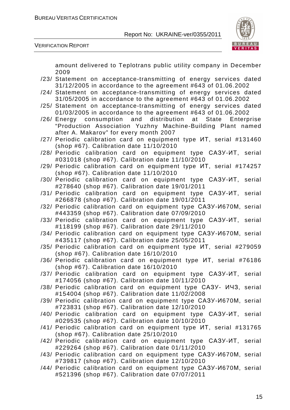

VERIFICATION REPORT

amount delivered to Teplotrans public utility company in December 2009

- /23/ Statement on acceptance-transmitting of energy services dated 31/12/2005 in accordance to the agreement #643 of 01.06.2002
- /24/ Statement on acceptance-transmitting of energy services dated 31/05/2005 in accordance to the agreement #643 of 01.06.2002
- /25/ Statement on acceptance-transmitting of energy services dated 01/03/2005 in accordance to the agreement #643 of 01.06.2002
- /26/ Energy consumption and distribution at State Enterprise "Production Association Yuzhny Machine-Building Plant named after A. Makarov" for every month 2007
- /27/ Periodic calibration card on equipment type ИТ, serial #131460 (shop #67). Calibration date 11/10/2010
- /28/ Periodic calibration card on equipment type САЗУ-ИТ, serial #031018 (shop #67). Calibration date 11/10/2010
- /29/ Periodic calibration card on equipment type ИТ, serial #174257 (shop #67). Calibration date 11/10/2010
- /30/ Periodic calibration card on equipment type САЗУ-ИТ, serial #278640 (shop #67). Calibration date 19/01/2011
- /31/ Periodic calibration card on equipment type САЗУ-ИТ, serial #266878 (shop #67). Calibration date 19/01/2011
- /32/ Periodic calibration card on equipment type САЗУ-И670М, serial #443359 (shop #67). Calibration date 07/09/2010
- /33/ Periodic calibration card on equipment type САЗУ-ИТ, serial #118199 (shop #67). Calibration date 29/11/2010
- /34/ Periodic calibration card on equipment type САЗУ-И670М, serial #435117 (shop #67). Calibration date 25/05/2011
- /35/ Periodic calibration card on equipment type ИТ, serial #279059 (shop #67). Calibration date 16/10/2010
- /36/ Periodic calibration card on equipment type ИТ, serial #76186 (shop #67). Calibration date 16/10/2010
- /37/ Periodic calibration card on equipment type САЗУ-ИТ, serial #174056 (shop #67). Calibration date 10/11/2010
- /38/ Periodic calibration card on equipment type САЗУ- ИЧЗ, serial #154004 (shop #67). Calibration date 11/02/2008
- /39/ Periodic calibration card on equipment type САЗУ-И670М, serial #723831 (shop #67). Calibration date 12/10/2010
- /40/ Periodic calibration card on equipment type САЗУ-ИТ, serial #029535 (shop #67). Calibration date 10/10/2010
- /41/ Periodic calibration card on equipment type ИТ, serial #131765 (shop #67). Calibration date 25/10/2010
- /42/ Periodic calibration card on equipment type САЗУ-ИТ, serial #229264 (shop #67). Calibration date 01/11/2010
- /43/ Periodic calibration card on equipment type САЗУ-И670М, serial #739817 (shop #67). Calibration date 12/10/2010
- /44/ Periodic calibration card on equipment type САЗУ-И670М, serial #521396 (shop #67). Calibration date 07/07/2011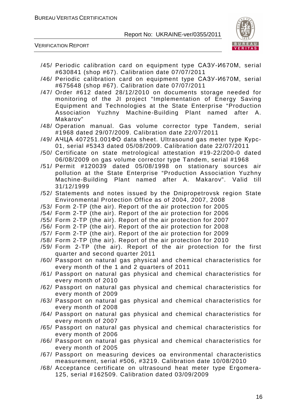

VERIFICATION REPORT

- /45/ Periodic calibration card on equipment type САЗУ-И670М, serial #630841 (shop #67). Calibration date 07/07/2011
- /46/ Periodic calibration card on equipment type САЗУ-И670М, serial #675648 (shop #67). Calibration date 07/07/2011
- /47/ Order #612 dated 28/12/2010 on documents storage needed for monitoring of the JI project "Implementation of Energy Saving Equipment and Technologies at the State Enterprise "Production Association Yuzhny Machine-Building Plant named after A. Makarov"
- /48/ Operation manual. Gas volume corrector type Tandem, serial #1968 dated 29/07/2009. Calibration date 22/07/2011
- /49/ АЧЦА 407251.001ФО data sheet. Ultrasound gas meter type Курс-01, serial #5343 dated 05/08/2009. Calibration date 22/07/2011
- /50/ Certificate on state metrological attestation #19-22/200-0 dated 06/08/2009 on gas volume corrector type Tandem, serial #1968
- /51/ Permit #120039 dated 05/08/1998 on stationary sources air pollution at the State Enterprise "Production Association Yuzhny Machine-Building Plant named after A. Makarov". Valid till 31/12/1999
- /52/ Statements and notes issued by the Dnipropetrovsk region State Environmental Protection Office as of 2004, 2007, 2008
- /53/ Form 2-TP (the air). Report of the air protection for 2005
- /54/ Form 2-TP (the air). Report of the air protection for 2006
- /55/ Form 2-TP (the air). Report of the air protection for 2007
- /56/ Form 2-TP (the air). Report of the air protection for 2008
- /57/ Form 2-TP (the air). Report of the air protection for 2009
- /58/ Form 2-TP (the air). Report of the air protection for 2010
- /59/ Form 2-TP (the air). Report of the air protection for the first quarter and second quarter 2011
- /60/ Passport on natural gas physical and chemical characteristics for every month of the 1 and 2 quarters of 2011
- /61/ Passport on natural gas physical and chemical characteristics for every month of 2010
- /62/ Passport on natural gas physical and chemical characteristics for every month of 2009
- /63/ Passport on natural gas physical and chemical characteristics for every month of 2008
- /64/ Passport on natural gas physical and chemical characteristics for every month of 2007
- /65/ Passport on natural gas physical and chemical characteristics for every month of 2006
- /66/ Passport on natural gas physical and chemical characteristics for every month of 2005
- /67/ Passport on measuring devices oа environmental characteristics measurement, serial #506, #3219. Calibration date 10/08/2010
- /68/ Acceptance certificate on ultrasound heat meter type Ergomera-125, serial #162509. Calibration dated 03/09/2009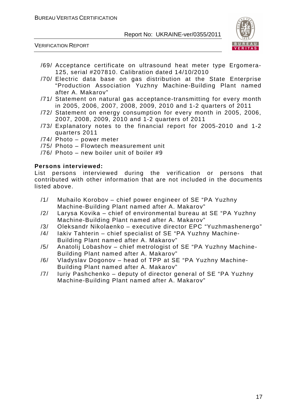



- /69/ Acceptance certificate on ultrasound heat meter type Ergomera-125, serial #207810. Calibration dated 14/10/2010
- /70/ Electric data base on gas distribution at the State Enterprise "Production Association Yuzhny Machine-Building Plant named after A. Makarov"
- /71/ Statement on natural gas acceptance-transmitting for every month in 2005, 2006, 2007, 2008, 2009, 2010 and 1-2 quarters of 2011
- /72/ Statement on energy consumption for every month in 2005, 2006, 2007, 2008, 2009, 2010 and 1-2 quarters of 2011
- /73/ Explanatory notes to the financial report for 2005-2010 and 1-2 quarters 2011
- /74/ Photo power meter
- /75/ Photo Flowtech measurement unit
- /76/ Photo new boiler unit of boiler #9

#### **Persons interviewed:**

List persons interviewed during the verification or persons that contributed with other information that are not included in the documents listed above.

- /1/ Muhailo Korobov chief power engineer of SE "PA Yuzhny Machine-Building Plant named after A. Makarov"
- /2/ Larysa Kovika chief of environmental bureau at SE "PA Yuzhny Machine-Building Plant named after A. Makarov"
- /3/ Oleksandr Nikolaenko executive director EPC "Yuzhmashenergo"
- /4/ Iakiv Tahterin chief specialist of SE "PA Yuzhny Machine-
- Building Plant named after A. Makarov"
- /5/ Anatolij Lobashov chief metrologist of SE "PA Yuzhny Machine-Building Plant named after A. Makarov"
- /6/ Vladyslav Dogonov head of TPP at SE "PA Yuzhny Machine-Building Plant named after A. Makarov"
- /7/ Iuriy Pashchenko deputy of director general of SE "PA Yuzhny Machine-Building Plant named after A. Makarov"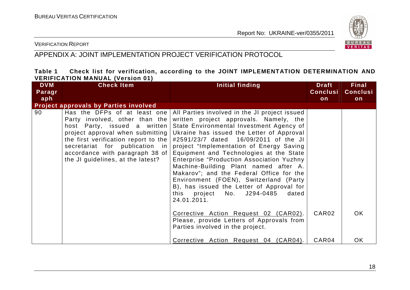

#### VERIFICATION REPORT

# APPENDIX A: JOINT IMPLEMENTATION PROJECT VERIFICATION PROTOCOL

#### **Table 1 Check list for verification, according to the JOINT IMPLEMENTATION DETERMINATION AND VERIFICATION MANUAL (Version 01)**

| <b>DVM</b> | <b>Check Item</b>                                                                                                                                                                                                                                                                        | Initial finding                                                                                                                                                                                                                                                                                                                                                                                                                                                                                                                                                                                                                                 | <b>Draft</b>      | <b>Final</b>    |
|------------|------------------------------------------------------------------------------------------------------------------------------------------------------------------------------------------------------------------------------------------------------------------------------------------|-------------------------------------------------------------------------------------------------------------------------------------------------------------------------------------------------------------------------------------------------------------------------------------------------------------------------------------------------------------------------------------------------------------------------------------------------------------------------------------------------------------------------------------------------------------------------------------------------------------------------------------------------|-------------------|-----------------|
| Paragr     |                                                                                                                                                                                                                                                                                          |                                                                                                                                                                                                                                                                                                                                                                                                                                                                                                                                                                                                                                                 | <b>Conclusi</b>   | <b>Conclusi</b> |
| aph        |                                                                                                                                                                                                                                                                                          |                                                                                                                                                                                                                                                                                                                                                                                                                                                                                                                                                                                                                                                 | on                | on              |
|            | <b>Project approvals by Parties involved</b>                                                                                                                                                                                                                                             |                                                                                                                                                                                                                                                                                                                                                                                                                                                                                                                                                                                                                                                 |                   |                 |
| 90         | Has the DFPs of at least one<br>Party involved, other than the<br>host Party, issued a written<br>project approval when submitting<br>the first verification report to the $ $<br>secretariat for publication in<br>accordance with paragraph 38 of<br>the JI guidelines, at the latest? | All Parties involved in the JI project issued<br>written project approvals. Namely, the<br>State Environmental Investment Agency of<br>Ukraine has issued the Letter of Approval<br>#2591/23/7 dated 16/09/2011 of the JI<br>project "Implementation of Energy Saving<br>Equipment and Technologies at the State<br><b>Enterprise "Production Association Yuzhny</b><br>Machine-Building Plant named after A.<br>Makarov"; and the Federal Office for the<br>Environment (FOEN), Switzerland (Party<br>B), has issued the Letter of Approval for<br>this project No. J294-0485<br>dated<br>24.01.2011.<br>Corrective Action Request 02 (CAR02). | CAR <sub>02</sub> | OK.             |
|            |                                                                                                                                                                                                                                                                                          | Please, provide Letters of Approvals from<br>Parties involved in the project.                                                                                                                                                                                                                                                                                                                                                                                                                                                                                                                                                                   |                   |                 |
|            |                                                                                                                                                                                                                                                                                          | Corrective Action Request 04 (CAR04).                                                                                                                                                                                                                                                                                                                                                                                                                                                                                                                                                                                                           | CAR04             | OK.             |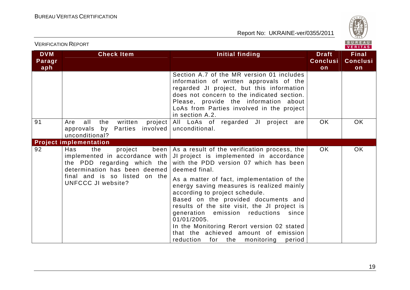

| <b>VERIFICATION REPORT</b>  |                                                                                                                                                                                         |                                                                                                                                                                                                                                                                                                                                                                                                                                                                                                                                                                                 |                                       | BUREAU<br>VERITAS                     |
|-----------------------------|-----------------------------------------------------------------------------------------------------------------------------------------------------------------------------------------|---------------------------------------------------------------------------------------------------------------------------------------------------------------------------------------------------------------------------------------------------------------------------------------------------------------------------------------------------------------------------------------------------------------------------------------------------------------------------------------------------------------------------------------------------------------------------------|---------------------------------------|---------------------------------------|
| <b>DVM</b><br>Paragr<br>aph | <b>Check Item</b>                                                                                                                                                                       | Initial finding                                                                                                                                                                                                                                                                                                                                                                                                                                                                                                                                                                 | <b>Draft</b><br><b>Conclusi</b><br>on | <b>Final</b><br><b>Conclusi</b><br>on |
|                             |                                                                                                                                                                                         | Section A.7 of the MR version 01 includes<br>information of written approvals of the<br>regarded JI project, but this information<br>does not concern to the indicated section.<br>Please, provide the information about<br>LoAs from Parties involved in the project<br>in section A.2.                                                                                                                                                                                                                                                                                        |                                       |                                       |
| 91                          | all<br>the<br>written<br>project  <br>Are<br>approvals by Parties<br>unconditional?                                                                                                     | All LoAs of regarded JI project are<br>involved   unconditional.                                                                                                                                                                                                                                                                                                                                                                                                                                                                                                                | <b>OK</b>                             | <b>OK</b>                             |
|                             | <b>Project implementation</b>                                                                                                                                                           |                                                                                                                                                                                                                                                                                                                                                                                                                                                                                                                                                                                 |                                       |                                       |
| 92                          | Has<br>the<br>project<br>implemented in accordance with  <br>the PDD regarding which the<br>determination has been deemed<br>final and is so listed on the<br><b>UNFCCC JI website?</b> | been   As a result of the verification process, the  <br>JI project is implemented in accordance<br>with the PDD version 07 which has been<br>deemed final.<br>As a matter of fact, implementation of the<br>energy saving measures is realized mainly<br>according to project schedule.<br>Based on the provided documents and<br>results of the site visit, the JI project is<br>generation emission reductions<br>since<br>01/01/2005.<br>In the Monitoring Rerort version 02 stated<br>that the achieved amount of emission<br>reduction<br>for the<br>monitoring<br>period | OK.                                   | <b>OK</b>                             |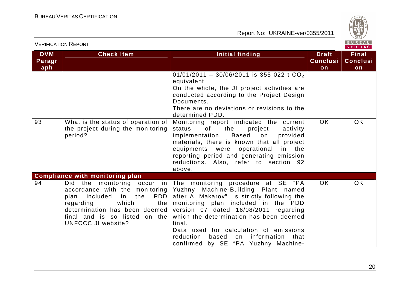

|                             | <b>VERIFICATION REPORT</b>                                                                                                                                                                    | BUREAU<br>VERITAS                                                                                                                                                                                                                                                                                                                                                                                                                                               |                                       |                                       |
|-----------------------------|-----------------------------------------------------------------------------------------------------------------------------------------------------------------------------------------------|-----------------------------------------------------------------------------------------------------------------------------------------------------------------------------------------------------------------------------------------------------------------------------------------------------------------------------------------------------------------------------------------------------------------------------------------------------------------|---------------------------------------|---------------------------------------|
| <b>DVM</b><br>Paragr<br>aph | <b>Check Item</b>                                                                                                                                                                             | Initial finding                                                                                                                                                                                                                                                                                                                                                                                                                                                 | <b>Draft</b><br><b>Conclusi</b><br>on | <b>Final</b><br><b>Conclusi</b><br>on |
|                             |                                                                                                                                                                                               | 01/01/2011 - 30/06/2011 is 355 022 t CO <sub>2</sub><br>equivalent.<br>On the whole, the JI project activities are<br>conducted according to the Project Design<br>Documents.<br>There are no deviations or revisions to the<br>determined PDD.                                                                                                                                                                                                                 |                                       |                                       |
| 93                          | What is the status of operation of<br>the project during the monitoring<br>period?                                                                                                            | Monitoring report indicated the current<br>status<br>of<br>the<br>project<br>activity<br>implementation. Based<br>on<br>provided<br>materials, there is known that all project<br>equipments were operational in the<br>reporting period and generating emission<br>reductions. Also, refer to section 92<br>above.                                                                                                                                             | <b>OK</b>                             | <b>OK</b>                             |
| 94                          | <b>Compliance with monitoring plan</b><br>accordance with the monitoring<br>PDD<br>plan included in the<br>which<br>regarding<br>the I<br>final and is so listed on the<br>UNFCCC JI website? | Did the monitoring occur in The monitoring procedure at SE "PA<br>Yuzhny Machine-Building Plant named<br>after A. Makarov" is strictly following the<br>monitoring plan included in the PDD<br>determination has been deemed version $07$ dated $16/08/2011$ regarding<br>which the determination has been deemed<br>final.<br>Data used for calculation of emissions<br>reduction<br>based<br>information<br>that<br>on<br>confirmed by SE "PA Yuzhny Machine- | OK.                                   | <b>OK</b>                             |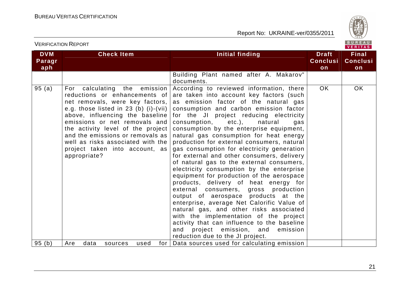

VERITAS

#### **DVM Paragraph Check Item Initial finding Check Item Initial finding Theory ConclusionFinal Conclusion** Building Plant named after A. Makarov" documents. According to reviewed information, there 95 (a) For calculating the emission reductions or enhancements of net removals, were key factors, e.g. those listed in 23 (b) (i)-(vii) above, influencing the baseline emissions or net removals and the activity level of the project and the emissions or removals as well as risks associated with the project taken into account, as appropriate? are taken into account key factors (such as emission factor of the natural gas consumption and carbon emission factor for the JI project reducing electricity consumption, etc.), natural gas consumption by the enterprise equipment, natural gas consumption for heat energy production for external consumers, natural gas consumption for electricity generation for external and other consumers, delivery of natural gas to the external consumers, electricity consumption by the enterprise equipment for production of the aerospace products, delivery of heat energy for external consumers, gross production output of aerospace products at the enterprise, average Net Calorific Value of natural gas, and other risks associated with the implementation of the project activity that can influence to the baseline and project emission, and emission reduction due to the JI project. 95 (b) | Are data sources used for | Data sources used for calculating emission OK OK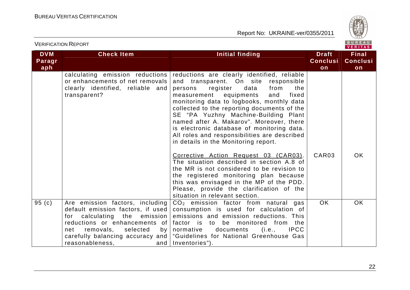

|                             | <b>VERIFICATION REPORT</b>                                                                                                                                                                                                                                         |                                                                                                                                                                                                                                                                                                                                                                                                                                                                                                                                                                                                                                                                                                                                                                                                              |                                       | BUREAU<br><b>VERITAS</b>              |
|-----------------------------|--------------------------------------------------------------------------------------------------------------------------------------------------------------------------------------------------------------------------------------------------------------------|--------------------------------------------------------------------------------------------------------------------------------------------------------------------------------------------------------------------------------------------------------------------------------------------------------------------------------------------------------------------------------------------------------------------------------------------------------------------------------------------------------------------------------------------------------------------------------------------------------------------------------------------------------------------------------------------------------------------------------------------------------------------------------------------------------------|---------------------------------------|---------------------------------------|
| <b>DVM</b><br>Paragr<br>aph | <b>Check Item</b>                                                                                                                                                                                                                                                  | <b>Initial finding</b>                                                                                                                                                                                                                                                                                                                                                                                                                                                                                                                                                                                                                                                                                                                                                                                       | <b>Draft</b><br><b>Conclusi</b><br>on | <b>Final</b><br><b>Conclusi</b><br>on |
|                             | calculating emission reductions<br>or enhancements of net removals<br>clearly identified, reliable and<br>transparent?                                                                                                                                             | reductions are clearly identified, reliable<br>and transparent. On site responsible<br>register<br>data<br>from<br>persons<br>the<br>measurement<br>equipments<br>and<br>fixed<br>monitoring data to logbooks, monthly data<br>collected to the reporting documents of the<br>SE "PA Yuzhny Machine-Building Plant<br>named after A. Makarov". Moreover, there<br>is electronic database of monitoring data.<br>All roles and responsibilities are described<br>in details in the Monitoring report.<br>Corrective Action Request 03 (CAR03).<br>The situation described in section A.8 of<br>the MR is not considered to be revision to<br>the registered monitoring plan because<br>this was envisaged in the MP of the PDD.<br>Please, provide the clarification of the<br>situation in relevant section. | CAR <sub>03</sub>                     | <b>OK</b>                             |
| 95(c)                       | Are emission factors, including<br>default emission factors, if used<br>calculating the<br>emission<br>for<br>reductions or enhancements of<br>removals,<br>net<br>selected<br>by <sub>1</sub><br>carefully balancing accuracy and  <br>reasonableness,<br>and $ $ | $CO2$ emission factor from natural gas<br>consumption is used for calculation of<br>emissions and emission reductions. This<br>factor is to be monitored from the<br><b>IPCC</b><br>normative<br>documents<br>(i.e.,<br>"Guidelines for National Greenhouse Gas<br>Inventories").                                                                                                                                                                                                                                                                                                                                                                                                                                                                                                                            | OK.                                   | <b>OK</b>                             |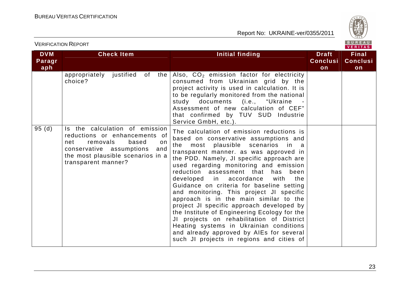

|                             | <b>VERIFICATION REPORT</b>                                                                                                                                                                       |                                                                                                                                                                                                                                                                                                                                                                                                                                                                                                                                                                                                                                                                                                                                                                    |                                       | BUREAU<br>VERITAS                     |
|-----------------------------|--------------------------------------------------------------------------------------------------------------------------------------------------------------------------------------------------|--------------------------------------------------------------------------------------------------------------------------------------------------------------------------------------------------------------------------------------------------------------------------------------------------------------------------------------------------------------------------------------------------------------------------------------------------------------------------------------------------------------------------------------------------------------------------------------------------------------------------------------------------------------------------------------------------------------------------------------------------------------------|---------------------------------------|---------------------------------------|
| <b>DVM</b><br>Paragr<br>aph | <b>Check Item</b>                                                                                                                                                                                | Initial finding                                                                                                                                                                                                                                                                                                                                                                                                                                                                                                                                                                                                                                                                                                                                                    | <b>Draft</b><br><b>Conclusi</b><br>on | <b>Final</b><br><b>Conclusi</b><br>on |
|                             | appropriately justified of the<br>choice?                                                                                                                                                        | Also, CO <sub>2</sub> emission factor for electricity<br>consumed from Ukrainian grid by the<br>project activity is used in calculation. It is<br>to be regularly monitored from the national<br>study documents (i.e., "Ukraine<br>Assessment of new calculation of CEF"<br>that confirmed by TUV SUD Industrie<br>Service GmbH, etc.).                                                                                                                                                                                                                                                                                                                                                                                                                           |                                       |                                       |
| 95(d)                       | Is the calculation of emission<br>reductions or enhancements of<br>removals<br>based<br>net<br>on<br>conservative assumptions<br>and<br>the most plausible scenarios in a<br>transparent manner? | The calculation of emission reductions is<br>based on conservative assumptions and<br>most plausible scenarios in a<br>the<br>transparent manner. as was approved in<br>the PDD. Namely, JI specific approach are<br>used regarding monitoring and emission<br>reduction assessment that<br>has<br>been<br>developed in accordance<br>with<br>the<br>Guidance on criteria for baseline setting<br>and monitoring. This project JI specific<br>approach is in the main similar to the<br>project JI specific approach developed by<br>the Institute of Engineering Ecology for the<br>JI projects on rehabilitation of District<br>Heating systems in Ukrainian conditions<br>and already approved by AIEs for several<br>such JI projects in regions and cities of |                                       |                                       |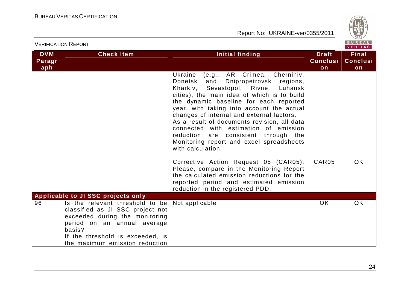

|                             | <b>VERIFICATION REPORT</b>                                                                                                                                                                                           |                                                                                                                                                                                                                                                                                                                                                                                                                                                                                                                 |                                       | BUREAU<br><b>VERITAS</b>              |
|-----------------------------|----------------------------------------------------------------------------------------------------------------------------------------------------------------------------------------------------------------------|-----------------------------------------------------------------------------------------------------------------------------------------------------------------------------------------------------------------------------------------------------------------------------------------------------------------------------------------------------------------------------------------------------------------------------------------------------------------------------------------------------------------|---------------------------------------|---------------------------------------|
| <b>DVM</b><br>Paragr<br>aph | <b>Check Item</b>                                                                                                                                                                                                    | Initial finding                                                                                                                                                                                                                                                                                                                                                                                                                                                                                                 | <b>Draft</b><br><b>Conclusi</b><br>on | <b>Final</b><br><b>Conclusi</b><br>on |
|                             |                                                                                                                                                                                                                      | Ukraine<br>(e.g., AR Crimea, Chernihiv,<br>Donetsk<br>and<br>Dnipropetrovsk regions,<br>Kharkiv, Sevastopol, Rivne, Luhansk<br>cities), the main idea of which is to build<br>the dynamic baseline for each reported<br>year, with taking into account the actual<br>changes of internal and external factors.<br>As a result of documents revision, all data<br>connected with estimation of emission<br>reduction are consistent through the<br>Monitoring report and excel spreadsheets<br>with calculation. |                                       |                                       |
|                             |                                                                                                                                                                                                                      | Corrective Action Request 05 (CAR05).<br>Please, compare in the Monitoring Report<br>the calculated emission reductions for the<br>reported period and estimated emission<br>reduction in the registered PDD.                                                                                                                                                                                                                                                                                                   | CAR05                                 | OK.                                   |
|                             | <b>Applicable to JI SSC projects only</b>                                                                                                                                                                            |                                                                                                                                                                                                                                                                                                                                                                                                                                                                                                                 |                                       |                                       |
| 96                          | Is the relevant threshold to be<br>classified as JI SSC project not<br>exceeded during the monitoring<br>period on an annual average<br>basis?<br>If the threshold is exceeded, is<br>the maximum emission reduction | Not applicable                                                                                                                                                                                                                                                                                                                                                                                                                                                                                                  | <b>OK</b>                             | <b>OK</b>                             |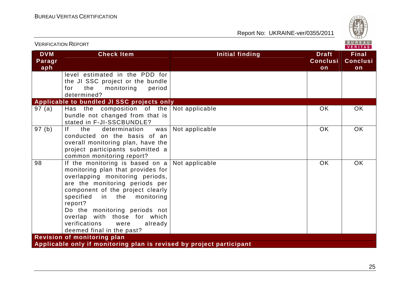

| <b>VERIFICATION REPORT</b>  |                                                                                                                                                                                                                                                                                                                                                                   |                 |                                       | BUREAU<br><b>VERITAS</b>              |
|-----------------------------|-------------------------------------------------------------------------------------------------------------------------------------------------------------------------------------------------------------------------------------------------------------------------------------------------------------------------------------------------------------------|-----------------|---------------------------------------|---------------------------------------|
| <b>DVM</b><br>Paragr<br>aph | <b>Check Item</b>                                                                                                                                                                                                                                                                                                                                                 | Initial finding | <b>Draft</b><br><b>Conclusi</b><br>on | <b>Final</b><br><b>Conclusi</b><br>on |
|                             | level estimated in the PDD for<br>the JI SSC project or the bundle<br>monitoring<br>period<br>the<br>for<br>determined?                                                                                                                                                                                                                                           |                 |                                       |                                       |
|                             | Applicable to bundled JI SSC projects only                                                                                                                                                                                                                                                                                                                        |                 |                                       |                                       |
| 97(a)                       | Has the composition of the<br>bundle not changed from that is<br>stated in F-JI-SSCBUNDLE?                                                                                                                                                                                                                                                                        | Not applicable  | OK.                                   | <b>OK</b>                             |
| 97(b)                       | f <br>the<br>determination<br>was<br>conducted on the basis of an<br>overall monitoring plan, have the<br>project participants submitted a<br>common monitoring report?                                                                                                                                                                                           | Not applicable  | <b>OK</b>                             | <b>OK</b>                             |
| 98                          | If the monitoring is based on $a$<br>monitoring plan that provides for<br>overlapping monitoring periods,<br>are the monitoring periods per<br>component of the project clearly<br>specified<br>in the<br>monitoring<br>report?<br>Do the monitoring periods not<br>overlap with those for which<br>verifications<br>were<br>already<br>deemed final in the past? | Not applicable  | <b>OK</b>                             | <b>OK</b>                             |
|                             | <b>Revision of monitoring plan</b>                                                                                                                                                                                                                                                                                                                                |                 |                                       |                                       |
|                             | Applicable only if monitoring plan is revised by project participant                                                                                                                                                                                                                                                                                              |                 |                                       |                                       |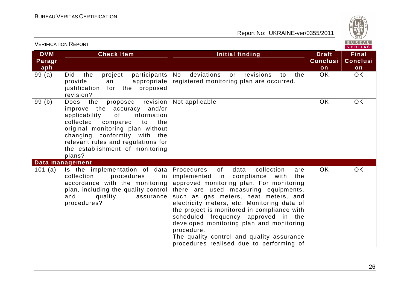

| <b>VERIFICATION REPORT</b>  |                                                                                                                                                                                                                                                                                                    |                                                                                                                                                                                                                                                                                                                                                                                                                                                                                                                  |                                       | BUREAU<br>VERITAS                     |
|-----------------------------|----------------------------------------------------------------------------------------------------------------------------------------------------------------------------------------------------------------------------------------------------------------------------------------------------|------------------------------------------------------------------------------------------------------------------------------------------------------------------------------------------------------------------------------------------------------------------------------------------------------------------------------------------------------------------------------------------------------------------------------------------------------------------------------------------------------------------|---------------------------------------|---------------------------------------|
| <b>DVM</b><br>Paragr<br>aph | <b>Check Item</b>                                                                                                                                                                                                                                                                                  | <b>Initial finding</b>                                                                                                                                                                                                                                                                                                                                                                                                                                                                                           | <b>Draft</b><br><b>Conclusi</b><br>on | <b>Final</b><br><b>Conclusi</b><br>on |
| 99(a)                       | the<br>project<br>participants<br><b>Did</b><br>provide<br>appropriate<br>an<br>the proposed<br>justification<br>for<br>revision?                                                                                                                                                                  | deviations<br>No.<br>revisions<br>the<br>or<br>to<br>registered monitoring plan are occurred.                                                                                                                                                                                                                                                                                                                                                                                                                    | <b>OK</b>                             | <b>OK</b>                             |
| 99(b)                       | revision<br>Does<br>the<br>proposed<br>improve the accuracy and/or<br>information<br>applicability<br>of<br>collected compared<br>to<br>the<br>original monitoring plan without<br>changing conformity with the<br>relevant rules and regulations for<br>the establishment of monitoring<br>plans? | Not applicable                                                                                                                                                                                                                                                                                                                                                                                                                                                                                                   | <b>OK</b>                             | <b>OK</b>                             |
|                             | Data management                                                                                                                                                                                                                                                                                    |                                                                                                                                                                                                                                                                                                                                                                                                                                                                                                                  |                                       |                                       |
| 101 (a)                     | Is the implementation of data<br>collection<br>procedures<br>in<br>accordance with the monitoring<br>plan, including the quality control<br>and<br>quality<br>assurance<br>procedures?                                                                                                             | Procedures<br>of<br>data<br>collection<br>are<br>implemented<br>in compliance<br>with<br>the<br>approved monitoring plan. For monitoring<br>there are used measuring equipments,<br>such as gas meters, heat meters, and<br>electricity meters, etc. Monitoring data of<br>the project is monitored in compliance with<br>scheduled frequency approved in the<br>developed monitoring plan and monitoring<br>procedure.<br>The quality control and quality assurance<br>procedures realised due to performing of | <b>OK</b>                             | <b>OK</b>                             |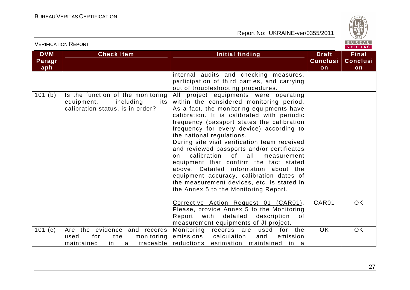

| <b>DVM</b><br>Paragr<br>aph | <b>Check Item</b>                                                                                         | <b>Initial finding</b>                                                                                                                                                                                                                                                                                                                                                                                                                                                                                                                                                                                                                                           | <b>Draft</b><br><b>Conclusi</b><br>on | <b>Final</b><br><b>Conclusi</b><br>on |
|-----------------------------|-----------------------------------------------------------------------------------------------------------|------------------------------------------------------------------------------------------------------------------------------------------------------------------------------------------------------------------------------------------------------------------------------------------------------------------------------------------------------------------------------------------------------------------------------------------------------------------------------------------------------------------------------------------------------------------------------------------------------------------------------------------------------------------|---------------------------------------|---------------------------------------|
|                             |                                                                                                           | internal audits and checking measures,<br>participation of third parties, and carrying<br>out of troubleshooting procedures.                                                                                                                                                                                                                                                                                                                                                                                                                                                                                                                                     |                                       |                                       |
| 101(b)                      | Is the function of the monitoring<br>equipment,<br>including<br>its I<br>calibration status, is in order? | All project equipments were operating<br>within the considered monitoring period.<br>As a fact, the monitoring equipments have<br>calibration. It is calibrated with periodic<br>frequency (passport states the calibration<br>frequency for every device) according to<br>the national regulations.<br>During site visit verification team received<br>and reviewed passports and/or certificates<br>calibration of all measurement<br>on<br>equipment that confirm the fact stated<br>above. Detailed information about the<br>equipment accuracy, calibration dates of<br>the measurement devices, etc. is stated in<br>the Annex 5 to the Monitoring Report. |                                       |                                       |
|                             |                                                                                                           | Corrective Action Request 01 (CAR01).<br>Please, provide Annex 5 to the Monitoring<br>Report with<br>detailed<br>description<br>of<br>measurement equipments of JI project.                                                                                                                                                                                                                                                                                                                                                                                                                                                                                      | CAR01                                 | OK.                                   |
| 101(c)                      | Are the evidence and records<br>monitoring<br>the<br>used<br>for<br>traceable<br>maintained<br>in.<br>a   | Monitoring records are used<br>for the<br>emissions<br>calculation<br>emission<br>and<br>reductions estimation maintained<br>in a                                                                                                                                                                                                                                                                                                                                                                                                                                                                                                                                | <b>OK</b>                             | <b>OK</b>                             |

VERIFICATION REPORT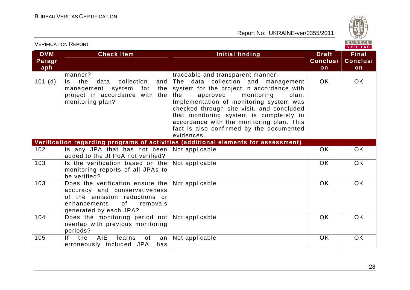

|                             |                                                                                                                                                                |                                                                                                                                                                                                                                                                                                                                                                     |                                       | . <i>.</i>                            |
|-----------------------------|----------------------------------------------------------------------------------------------------------------------------------------------------------------|---------------------------------------------------------------------------------------------------------------------------------------------------------------------------------------------------------------------------------------------------------------------------------------------------------------------------------------------------------------------|---------------------------------------|---------------------------------------|
| <b>DVM</b><br>Paragr<br>aph | <b>Check Item</b>                                                                                                                                              | Initial finding                                                                                                                                                                                                                                                                                                                                                     | <b>Draft</b><br><b>Conclusi</b><br>on | <b>Final</b><br><b>Conclusi</b><br>on |
|                             | manner?                                                                                                                                                        | traceable and transparent manner.                                                                                                                                                                                                                                                                                                                                   |                                       |                                       |
| 101(d)                      | ls.<br>the<br>data<br>collection<br>and<br>for<br>management system<br>the<br>project in accordance with the<br>monitoring plan?                               | The data collection and management<br>system for the project in accordance with<br>the<br>approved<br>monitoring<br>plan.<br>Implementation of monitoring system was<br>checked through site visit, and concluded<br>that monitoring system is completely in<br>accordance with the monitoring plan. This<br>fact is also confirmed by the documented<br>evidences. | OK                                    | OK                                    |
|                             |                                                                                                                                                                | Verification regarding programs of activities (additional elements for assessment)                                                                                                                                                                                                                                                                                  |                                       |                                       |
| 102                         | Is any JPA that has not been<br>added to the JI PoA not verified?                                                                                              | Not applicable                                                                                                                                                                                                                                                                                                                                                      | <b>OK</b>                             | OK                                    |
| 103                         | Is the verification based on the<br>monitoring reports of all JPAs to<br>be verified?                                                                          | Not applicable                                                                                                                                                                                                                                                                                                                                                      | <b>OK</b>                             | OK                                    |
| 103                         | Does the verification ensure the<br>accuracy and conservativeness<br>of the emission reductions or<br>enhancements<br>of<br>removals<br>generated by each JPA? | Not applicable                                                                                                                                                                                                                                                                                                                                                      | <b>OK</b>                             | OK                                    |
| 104                         | Does the monitoring period not<br>overlap with previous monitoring<br>periods?                                                                                 | Not applicable                                                                                                                                                                                                                                                                                                                                                      | <b>OK</b>                             | <b>OK</b>                             |
| 105                         | AIE<br>If.<br>the<br>learns<br>of<br>an<br>erroneously included JPA, has                                                                                       | Not applicable                                                                                                                                                                                                                                                                                                                                                      | OK                                    | OK                                    |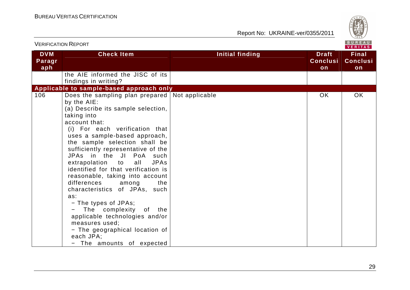

|                             | <b>VERIFICATION REPORT</b>                                                                                                                                                                                                                                                                                                                                                                                                                                                                                                                                                                                                                                                       |                        |                                       | BUREAU<br><b>VERITAS</b>              |
|-----------------------------|----------------------------------------------------------------------------------------------------------------------------------------------------------------------------------------------------------------------------------------------------------------------------------------------------------------------------------------------------------------------------------------------------------------------------------------------------------------------------------------------------------------------------------------------------------------------------------------------------------------------------------------------------------------------------------|------------------------|---------------------------------------|---------------------------------------|
| <b>DVM</b><br>Paragr<br>aph | <b>Check Item</b>                                                                                                                                                                                                                                                                                                                                                                                                                                                                                                                                                                                                                                                                | <b>Initial finding</b> | <b>Draft</b><br><b>Conclusi</b><br>on | <b>Final</b><br><b>Conclusi</b><br>on |
|                             | the AIE informed the JISC of its<br>findings in writing?                                                                                                                                                                                                                                                                                                                                                                                                                                                                                                                                                                                                                         |                        |                                       |                                       |
|                             | Applicable to sample-based approach only                                                                                                                                                                                                                                                                                                                                                                                                                                                                                                                                                                                                                                         |                        |                                       |                                       |
| 106                         | Does the sampling plan prepared Not applicable<br>by the AIE:<br>(a) Describe its sample selection,<br>taking into<br>account that:<br>(i) For each verification that<br>uses a sample-based approach,<br>the sample selection shall be<br>sufficiently representative of the<br>JPAs in the JI PoA such<br>extrapolation<br>all<br>JPAs<br>to<br>identified for that verification is<br>reasonable, taking into account<br>differences<br>among<br>the<br>characteristics of JPAs, such<br>as:<br>- The types of JPAs;<br>The complexity of the<br>applicable technologies and/or<br>measures used;<br>- The geographical location of<br>each JPA;<br>- The amounts of expected |                        | <b>OK</b>                             | OK                                    |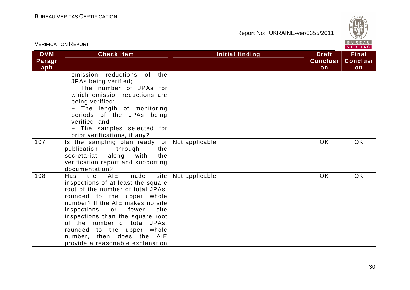

|                             |                                                                                                                                                                                                                                                                                                                                                                                     |                                                                 | VERITAS                               |
|-----------------------------|-------------------------------------------------------------------------------------------------------------------------------------------------------------------------------------------------------------------------------------------------------------------------------------------------------------------------------------------------------------------------------------|-----------------------------------------------------------------|---------------------------------------|
| <b>DVM</b><br>Paragr<br>aph | <b>Check Item</b>                                                                                                                                                                                                                                                                                                                                                                   | <b>Initial finding</b><br><b>Draft</b><br><b>Conclusi</b><br>on | <b>Final</b><br><b>Conclusi</b><br>on |
|                             | emission reductions of the<br>JPAs being verified;<br>- The number of JPAs for<br>which emission reductions are<br>being verified;<br>- The length of monitoring<br>periods of the JPAs being<br>verified; and<br>- The samples selected for<br>prior verifications, if any?                                                                                                        |                                                                 |                                       |
| 107                         | Is the sampling plan ready for<br>publication through<br>the<br>secretariat<br>along with<br>the<br>verification report and supporting<br>documentation?                                                                                                                                                                                                                            | <b>OK</b><br>Not applicable                                     | OK                                    |
| 108                         | the AIE<br>made<br>site  <br>Has<br>inspections of at least the square<br>root of the number of total JPAs,<br>rounded to the upper whole<br>number? If the AIE makes no site<br>inspections<br>or fewer<br>site<br>inspections than the square root<br>of the number of total JPAs,<br>rounded to the upper whole<br>number, then does the AIE<br>provide a reasonable explanation | <b>OK</b><br>Not applicable                                     | OK                                    |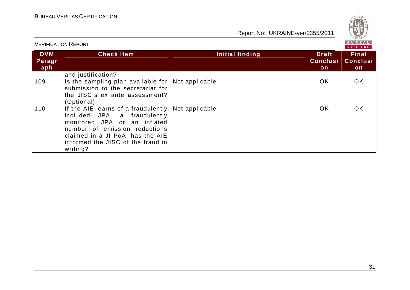

| <b>VERIFICATION REPORT</b>  |                                                                                                                                                                                                                                                  |                 | <b>BUREAU</b><br><b>VERITAS</b>        |                                        |  |
|-----------------------------|--------------------------------------------------------------------------------------------------------------------------------------------------------------------------------------------------------------------------------------------------|-----------------|----------------------------------------|----------------------------------------|--|
| <b>DVM</b><br>Paragr<br>aph | <b>Check Item</b>                                                                                                                                                                                                                                | Initial finding | <b>Draft</b><br><b>Conclusi</b><br>on. | <b>Final</b><br><b>Conclusi</b><br>on. |  |
|                             | and justification?                                                                                                                                                                                                                               |                 |                                        |                                        |  |
| 109                         | Is the sampling plan available for $\vert$ Not applicable<br>submission to the secretariat for<br>the JISC.s ex ante assessment?<br>(Optional)                                                                                                   |                 | OK.                                    | <b>OK</b>                              |  |
| 110                         | If the AIE learns of a fraudulently $\vert$ Not applicable<br>included JPA, a fraudulently<br>monitored JPA or an inflated<br>number of emission reductions<br>claimed in a JI PoA, has the AIE<br>informed the JISC of the fraud in<br>writing? |                 | OK.                                    | <b>OK</b>                              |  |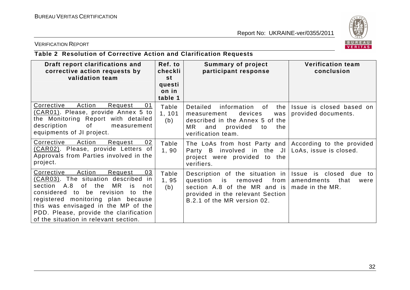

#### VERIFICATION REPORT

# **Table 2 Resolution of Corrective Action and Clarification Requests**

| Draft report clarifications and<br>corrective action requests by<br>validation team                                                                                                                                                                                                                                                          | Ref. to<br>checkli<br>st<br>questi<br>on in | <b>Summary of project</b><br>participant response                                                                                                                         | <b>Verification team</b><br>conclusion                                     |
|----------------------------------------------------------------------------------------------------------------------------------------------------------------------------------------------------------------------------------------------------------------------------------------------------------------------------------------------|---------------------------------------------|---------------------------------------------------------------------------------------------------------------------------------------------------------------------------|----------------------------------------------------------------------------|
|                                                                                                                                                                                                                                                                                                                                              | table 1                                     |                                                                                                                                                                           |                                                                            |
| Corrective<br>Action<br>Request<br>01<br>(CAR01). Please, provide Annex 5 to<br>the Monitoring Report with detailed<br>of<br>description<br>measurement<br>equipments of JI project.                                                                                                                                                         | Table<br>1, 101<br>(b)                      | Detailed<br>information<br>of<br>the<br>devices<br>measurement<br>was<br>described in the Annex 5 of the<br>MR.<br>provided<br>and<br>the<br>to<br>verification team.     | Issue is closed based on<br>provided documents.                            |
| Corrective<br>Action<br>Request<br>02<br>(CAR02). Please, provide Letters of<br>Approvals from Parties involved in the<br>project.                                                                                                                                                                                                           | Table<br>1, 90                              | The LoAs from host Party and According to the provided<br>involved in the JI<br>Party B<br>project were provided to the<br>verifiers.                                     | LoAs, issue is closed.                                                     |
| Action<br>03<br>Corrective<br>Request<br>(CAR03). The situation described<br>in<br>section A.8<br>MR.<br>of<br>the<br>is<br>not<br>considered<br>to be revision<br>the<br>to<br>registered monitoring plan because<br>this was envisaged in the MP of the<br>PDD. Please, provide the clarification<br>of the situation in relevant section. | Table<br>1,95<br>(b)                        | Description of the situation in<br>from  <br>question<br>is<br>removed<br>section A.8 of the MR and is<br>provided in the relevant Section<br>B.2.1 of the MR version 02. | Issue is closed due<br>to<br>amendments<br>that<br>were<br>made in the MR. |